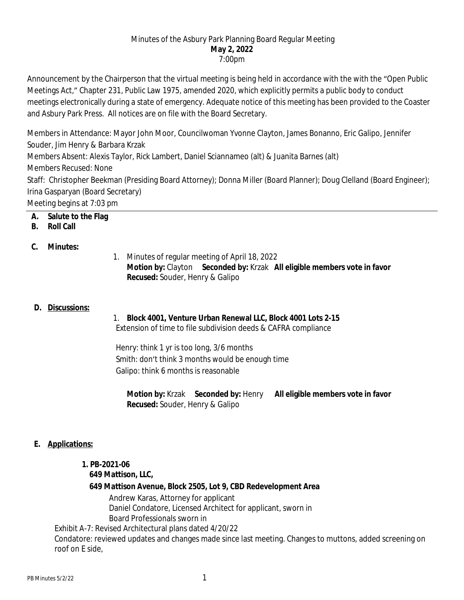#### Minutes of the Asbury Park Planning Board Regular Meeting **May 2, 2022** 7:00pm

Announcement by the Chairperson that the virtual meeting is being held in accordance with the with the "Open Public Meetings Act," Chapter 231, Public Law 1975, amended 2020, which explicitly permits a public body to conduct meetings electronically during a state of emergency. Adequate notice of this meeting has been provided to the Coaster and Asbury Park Press. All notices are on file with the Board Secretary.

Members in Attendance: Mayor John Moor, Councilwoman Yvonne Clayton, James Bonanno, Eric Galipo, Jennifer Souder, Jim Henry & Barbara Krzak

Members Absent: Alexis Taylor, Rick Lambert, Daniel Sciannameo (alt) & Juanita Barnes (alt) Members Recused: None

Staff: Christopher Beekman (Presiding Board Attorney); Donna Miller (Board Planner); Doug Clelland (Board Engineer); Irina Gasparyan (Board Secretary)

Meeting begins at 7:03 pm

## **A. Salute to the Flag**

### **B. Roll Call**

### **C. Minutes:**

1. Minutes of regular meeting of April 18, 2022 **Motion by:** Clayton **Seconded by:** Krzak **All eligible members vote in favor Recused:** Souder, Henry & Galipo

### **D. Discussions:**

### 1. **Block 4001, Venture Urban Renewal LLC, Block 4001 Lots 2-15**

Extension of time to file subdivision deeds & CAFRA compliance

Henry: think 1 yr is too long, 3/6 months Smith: don't think 3 months would be enough time Galipo: think 6 months is reasonable

**Motion by:** Krzak **Seconded by:** Henry **All eligible members vote in favor Recused:** Souder, Henry & Galipo

## **E. Applications:**

# **1. PB-2021-06**

 **649 Mattison, LLC,**

### **649 Mattison Avenue, Block 2505, Lot 9, CBD Redevelopment Area**

Andrew Karas, Attorney for applicant Daniel Condatore, Licensed Architect for applicant, sworn in Board Professionals sworn in

Exhibit A-7: Revised Architectural plans dated 4/20/22 Condatore: reviewed updates and changes made since last meeting. Changes to muttons, added screening on roof on E side,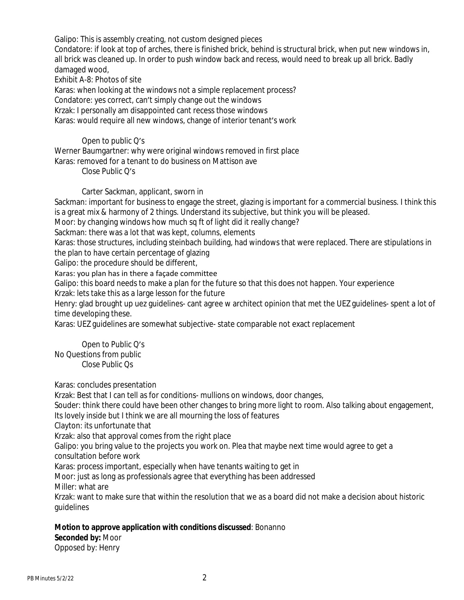Galipo: This is assembly creating, not custom designed pieces

Condatore: if look at top of arches, there is finished brick, behind is structural brick, when put new windows in, all brick was cleaned up. In order to push window back and recess, would need to break up all brick. Badly damaged wood,

Exhibit A-8: Photos of site

Karas: when looking at the windows not a simple replacement process?

Condatore: yes correct, can't simply change out the windows

Krzak: I personally am disappointed cant recess those windows

Karas: would require all new windows, change of interior tenant's work

#### Open to public Q's

Werner Baumgartner: why were original windows removed in first place

Karas: removed for a tenant to do business on Mattison ave

Close Public Q's

Carter Sackman, applicant, sworn in

Sackman: important for business to engage the street, glazing is important for a commercial business. I think this is a great mix & harmony of 2 things. Understand its subjective, but think you will be pleased.

Moor: by changing windows how much sq ft of light did it really change?

Sackman: there was a lot that was kept, columns, elements

Karas: those structures, including steinbach building, had windows that were replaced. There are stipulations in the plan to have certain percentage of glazing

Galipo: the procedure should be different,

Karas: you plan has in there a façade committee

Galipo: this board needs to make a plan for the future so that this does not happen. Your experience

Krzak: lets take this as a large lesson for the future

Henry: glad brought up uez guidelines- cant agree w architect opinion that met the UEZ guidelines- spent a lot of time developing these.

Karas: UEZ guidelines are somewhat subjective- state comparable not exact replacement

Open to Public Q's No Questions from public Close Public Qs

Karas: concludes presentation

Krzak: Best that I can tell as for conditions- mullions on windows, door changes,

Souder: think there could have been other changes to bring more light to room. Also talking about engagement, Its lovely inside but I think we are all mourning the loss of features

Clayton: its unfortunate that

Krzak: also that approval comes from the right place

Galipo: you bring value to the projects you work on. Plea that maybe next time would agree to get a consultation before work

Karas: process important, especially when have tenants waiting to get in

Moor: just as long as professionals agree that everything has been addressed Miller: what are

Krzak: want to make sure that within the resolution that we as a board did not make a decision about historic guidelines

### **Motion to approve application with conditions discussed**: Bonanno

**Seconded by:** Moor Opposed by: Henry